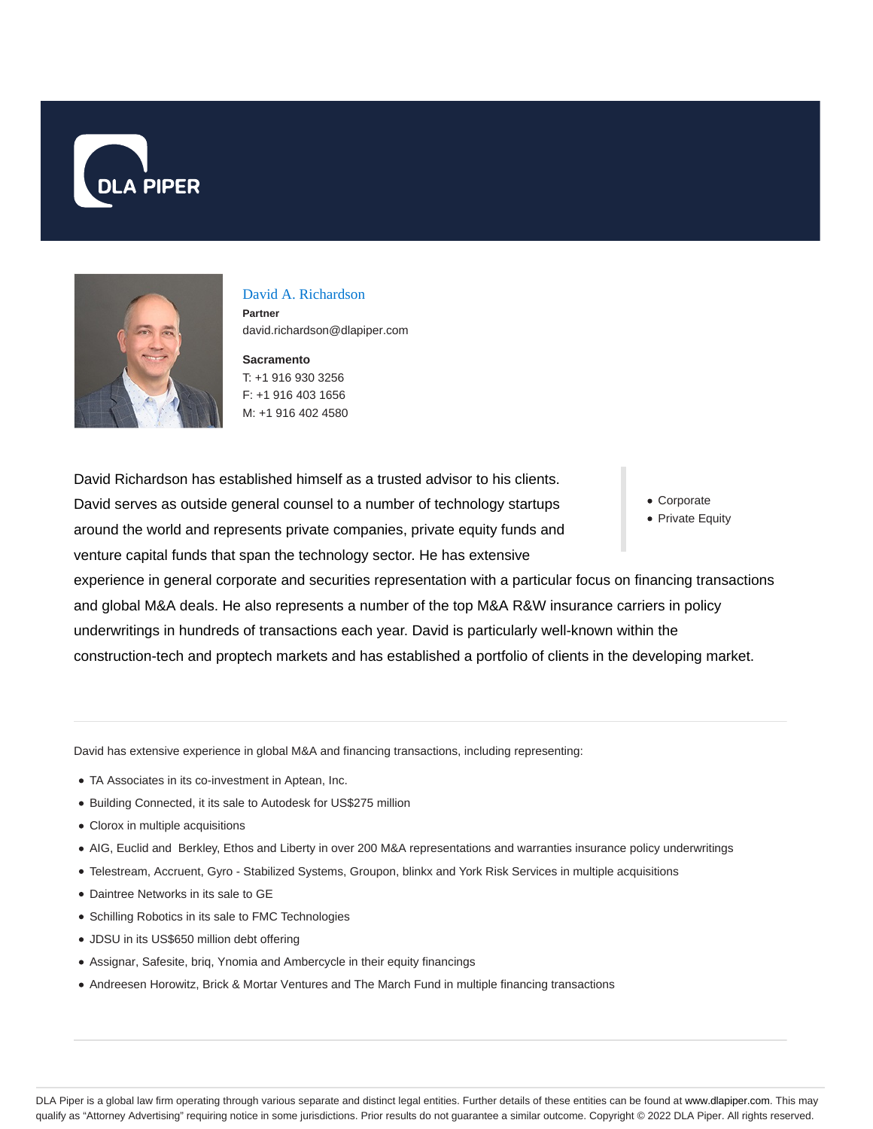



#### David A. Richardson

**Partner** david.richardson@dlapiper.com

**Sacramento** T: +1 916 930 3256 F: +1 916 403 1656 M: +1 916 402 4580

David Richardson has established himself as a trusted advisor to his clients. David serves as outside general counsel to a number of technology startups around the world and represents private companies, private equity funds and venture capital funds that span the technology sector. He has extensive

Corporate

• Private Equity

experience in general corporate and securities representation with a particular focus on financing transactions and global M&A deals. He also represents a number of the top M&A R&W insurance carriers in policy underwritings in hundreds of transactions each year. David is particularly well-known within the construction-tech and proptech markets and has established a portfolio of clients in the developing market.

David has extensive experience in global M&A and financing transactions, including representing:

- TA Associates in its co-investment in Aptean, Inc.
- Building Connected, it its sale to Autodesk for US\$275 million
- Clorox in multiple acquisitions
- AIG, Euclid and Berkley, Ethos and Liberty in over 200 M&A representations and warranties insurance policy underwritings
- Telestream, Accruent, Gyro Stabilized Systems, Groupon, blinkx and York Risk Services in multiple acquisitions
- Daintree Networks in its sale to GE
- Schilling Robotics in its sale to FMC Technologies
- JDSU in its US\$650 million debt offering
- Assignar, Safesite, briq, Ynomia and Ambercycle in their equity financings
- Andreesen Horowitz, Brick & Mortar Ventures and The March Fund in multiple financing transactions

DLA Piper is a global law firm operating through various separate and distinct legal entities. Further details of these entities can be found at www.dlapiper.com. This may qualify as "Attorney Advertising" requiring notice in some jurisdictions. Prior results do not guarantee a similar outcome. Copyright © 2022 DLA Piper. All rights reserved.